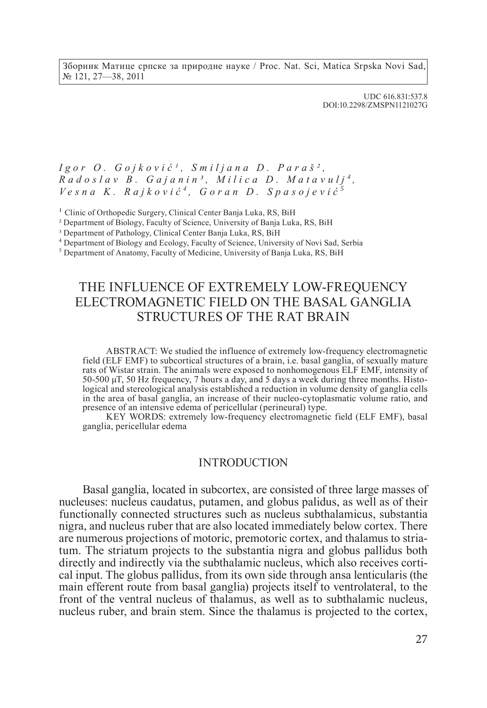Зборник Матице српске за природне науке / Proc. Nat. Sci, Matica Srpska Novi Sad,  $N_2$  121, 27—38, 2011

> UDC 616.831:537.8 DOI:10.2298/ZMSPN1121027G

Igor O. Gojković<sup>1</sup>, Smiljana D. Paraš<sup>2</sup>, *Radoslav B. Gajanin³, Milica D. Matavulj <sup>4</sup> , Vesna K. Rajković <sup>4</sup> , Goran D. Spasojević <sup>5</sup>*

<sup>1</sup> Clinic of Orthopedic Surgery, Clinical Center Banja Luka, RS, BiH

² Department of Biology, Faculty of Science, University of Banja Luka, RS, BiH

<sup>3</sup> Department of Pathology, Clinical Center Banja Luka, RS, BiH

4 Department of Biology and Ecology, Faculty of Science, University of Novi Sad, Serbia

<sup>5</sup> Department of Anatomy, Faculty of Medicine, University of Banja Luka, RS, BiH

# THE INFLUENCE OF EXTREMELY LOW-FREQUENCY ELECTROMAGNETIC FIELD ON THE BASAL GANGLIA STRUCTURES OF THE RAT BRAIN

ABSTRACT: We studied the influence of extremely low-frequency electromagnetic field (ELF EMF) to subcortical structures of a brain, i.e. basal ganglia, of sexually mature rats of Wistar strain. The animals were exposed to nonhomogenous ELF EMF, intensity of 50-500 μT, 50 Hz frequency, 7 hours a day, and 5 days a week during three months. Histological and stereological analysis established a reduction in volume density of ganglia cells in the area of basal ganglia, an increase of their nucleo-cytoplasmatic volume ratio, and presence of an intensive edema of pericellular (perineural) type.

KEY WORDS: extremely low-frequency electromagnetic field (ELF EMF), basal ganglia, pericellular edema

### **INTRODUCTION**

Basal ganglia, located in subcortex, are consisted of three large masses of nucleuses: nucleus caudatus, putamen, and globus palidus, as well as of their functionally connected structures such as nucleus subthalamicus, substantia nigra, and nucleus ruber that are also located immediately below cortex. There are numerous projections of motoric, premotoric cortex, and thalamus to striatum. The striatum projects to the substantia nigra and globus pallidus both directly and indirectly via the subthalamic nucleus, which also receives cortical input. The globus pallidus, from its own side through ansa lenticularis (the main efferent route from basal ganglia) projects itself to ventrolateral, to the front of the ventral nucleus of thalamus, as well as to subthalamic nucleus, nucleus ruber, and brain stem. Since the thalamus is projected to the cortex,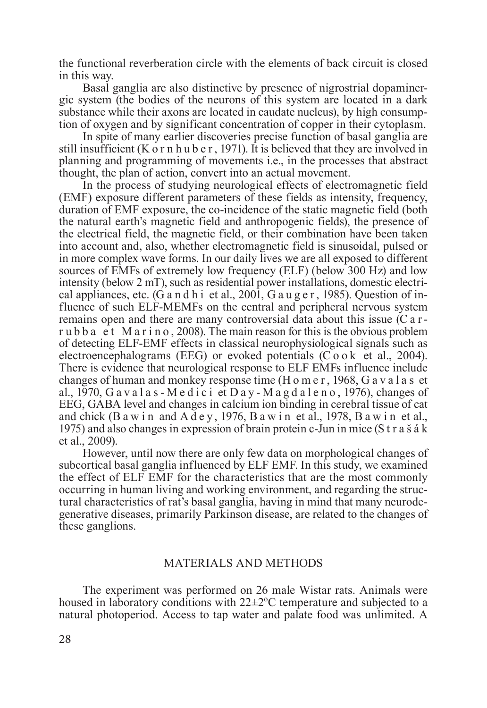the functional reverberation circle with the elements of back circuit is closed in this way.

Basal ganglia are also distinctive by presence of nigrostrial dopaminergic system (the bodies of the neurons of this system are located in a dark substance while their axons are located in caudate nucleus), by high consumption of oxygen and by significant concentration of copper in their cytoplasm.

In spite of many earlier discoveries precise function of basal ganglia are still insufficient (K o r n h u b e r, 1971). It is believed that they are involved in planning and programming of movements i.e., in the processes that abstract thought, the plan of action, convert into an actual movement.

In the process of studying neurological effects of electromagnetic field (EMF) exposure different parameters of these fields as intensity, frequency, duration of EMF exposure, the co-incidence of the static magnetic field (both the natural earth's magnetic field and anthropogenic fields), the presence of the electrical field, the magnetic field, or their combination have been taken into account and, also, whether electromagnetic field is sinusoidal, pulsed or in more complex wave forms. In our daily lives we are all exposed to different sources of EMFs of extremely low frequency (ELF) (below 300 Hz) and low intensity (below 2 mT), such as residential power installations, domestic electrical appliances, etc. (G a n d h i et al., 2001, G a u g e r , 1985). Question of influence of such ELF-MEMFs on the central and peripheral nervous system remains open and there are many controversial data about this issue (C a r r u b b a e t M a r i n o , 2008). The main reason for this is the obvious problem of detecting ELF-EMF effects in classical neurophysiological signals such as electroencephalograms (EEG) or evoked potentials ( $C \circ \circ k$  et al., 2004). There is evidence that neurological response to ELF EMFs influence include changes of human and monkey response time (H o m e r , 1968, G a v a l a s et al., 1970, G a v a l a s - M e d i c i et D a y - M a g d a l e n o , 1976), changes of EEG, GABA level and changes in calcium ion binding in cerebral tissue of cat and chick (B a w i n and  $\overrightarrow{A}$  d e y, 1976, B a w i n et al., 1978, B a w i n et al., 1975) and also changes in expression of brain protein c-Jun in mice (S t r a š á k et al., 2009).

However, until now there are only few data on morphological changes of subcortical basal ganglia influenced by ELF EMF. In this study, we examined the effect of ELF EMF for the characteristics that are the most commonly occurring in human living and working environment, and regarding the structural characteristics of rat's basal ganglia, having in mind that many neurodegenerative diseases, primarily Parkinson disease, are related to the changes of these ganglions.

### MATERIALS AND METHODS

The experiment was performed on 26 male Wistar rats. Animals were housed in laboratory conditions with  $22 \pm 2$ °C temperature and subjected to a natural photoperiod. Access to tap water and palate food was unlimited. A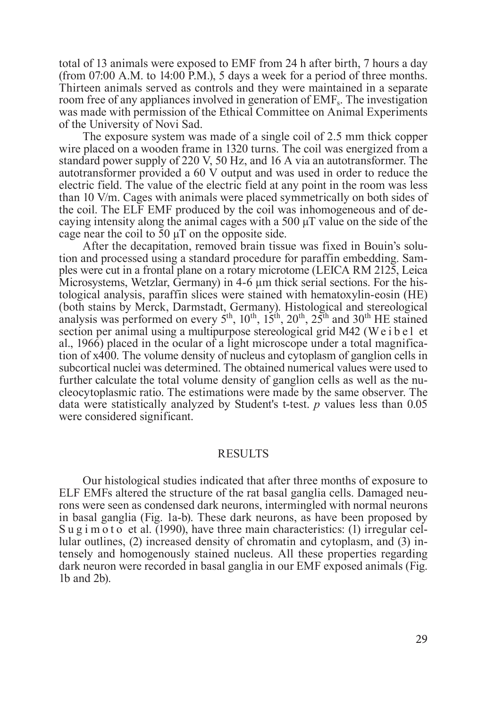total of 13 animals were exposed to EMF from 24 h after birth, 7 hours a day (from 07:00 A.M. to 14:00 P.M.), 5 days a week for a period of three months. Thirteen animals served as controls and they were maintained in a separate room free of any appliances involved in generation of EMFs. The investigation was made with permission of the Ethical Committee on Animal Experiments of the University of Novi Sad.

The exposure system was made of a single coil of 2.5 mm thick copper wire placed on a wooden frame in 1320 turns. The coil was energized from a standard power supply of 220 V, 50 Hz, and 16 A via an autotransformer. The autotransformer provided a 60 V output and was used in order to reduce the electric field. The value of the electric field at any point in the room was less than 10 V/m. Cages with animals were placed symmetrically on both sides of the coil. The ELF EMF produced by the coil was inhomogeneous and of decaying intensity along the animal cages with a 500 µT value on the side of the cage near the coil to 50  $\mu$ T on the opposite side.

After the decapitation, removed brain tissue was fixed in Bouin's solution and processed using a standard procedure for paraffin embedding. Samples were cut in a frontal plane on a rotary microtome (LEICA RM 2125, Leica Microsystems, Wetzlar, Germany) in 4-6  $\mu$ m thick serial sections. For the histological analysis, paraffin slices were stained with hematoxylin-eosin (HE) (both stains by Merck, Darmstadt, Germany). Histological and stereological analysis was performed on every  $5<sup>th</sup>$ ,  $10<sup>th</sup>$ ,  $15<sup>th</sup>$ ,  $20<sup>th</sup>$ ,  $25<sup>th</sup>$  and  $30<sup>th</sup>$  HE stained section per animal using a multipurpose stereological grid M42 (We i b e l et al., 1966) placed in the ocular of a light microscope under a total magnification of x400. The volume density of nucleus and cytoplasm of ganglion cells in subcortical nuclei was determined. The obtained numerical values were used to further calculate the total volume density of ganglion cells as well as the nucleocytoplasmic ratio. The estimations were made by the same observer. The data were statistically analyzed by Student's t-test. *p* values less than 0.05 were considered significant.

### RESULTS

Our histological studies indicated that after three months of exposure to ELF EMFs altered the structure of the rat basal ganglia cells. Damaged neurons were seen as condensed dark neurons, intermingled with normal neurons in basal ganglia (Fig. 1a-b). These dark neurons, as have been proposed by S u g i m o t o et al.  $(1990)$ , have three main characteristics:  $(1)$  irregular cellular outlines, (2) increased density of chromatin and cytoplasm, and (3) intensely and homogenously stained nucleus. All these properties regarding dark neuron were recorded in basal ganglia in our EMF exposed animals (Fig. 1b and 2b).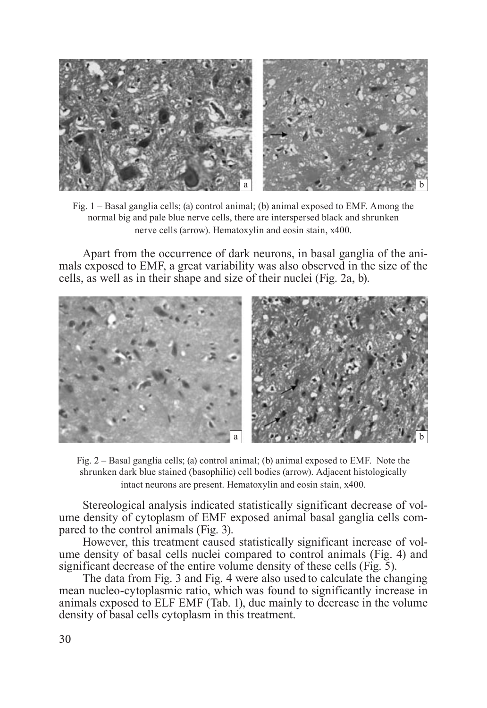

Fig. 1 – Basal ganglia cells; (a) control animal; (b) animal exposed to EMF. Among the normal big and pale blue nerve cells, there are interspersed black and shrunken nerve cells (arrow). Hematoxylin and eosin stain, x400.

Apart from the occurrence of dark neurons, in basal ganglia of the animals exposed to EMF, a great variability was also observed in the size of the cells, as well as in their shape and size of their nuclei (Fig. 2a, b).



Fig. 2 – Basal ganglia cells; (a) control animal; (b) animal exposed to EMF. Note the shrunken dark blue stained (basophilic) cell bodies (arrow). Adjacent histologically intact neurons are present. Hematoxylin and eosin stain, x400.

Stereological analysis indicated statistically significant decrease of volume density of cytoplasm of EMF exposed animal basal ganglia cells compared to the control animals (Fig. 3).

However, this treatment caused statistically significant increase of volume density of basal cells nuclei compared to control animals (Fig. 4) and significant decrease of the entire volume density of these cells (Fig. 5).

The data from Fig. 3 and Fig. 4 were also used to calculate the changing mean nucleo-cytoplasmic ratio, which was found to significantly increase in animals exposed to ELF EMF (Tab. 1), due mainly to decrease in the volume density of basal cells cytoplasm in this treatment.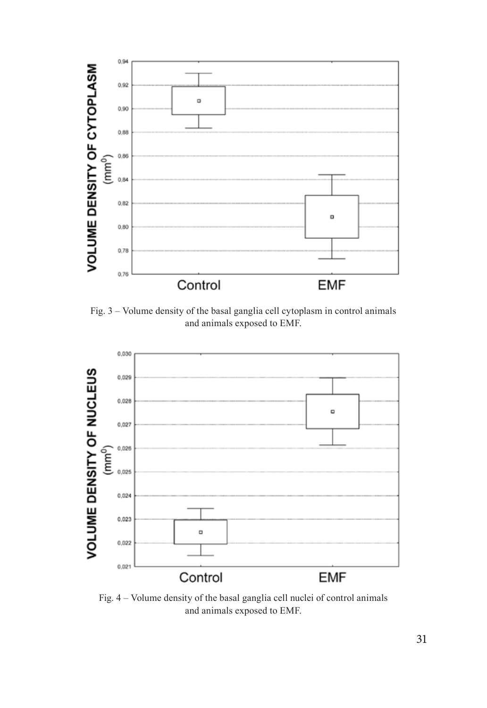

Fig. 3 – Volume density of the basal ganglia cell cytoplasm in control animals and animals exposed to EMF.



Fig. 4 – Volume density of the basal ganglia cell nuclei of control animals and animals exposed to EMF.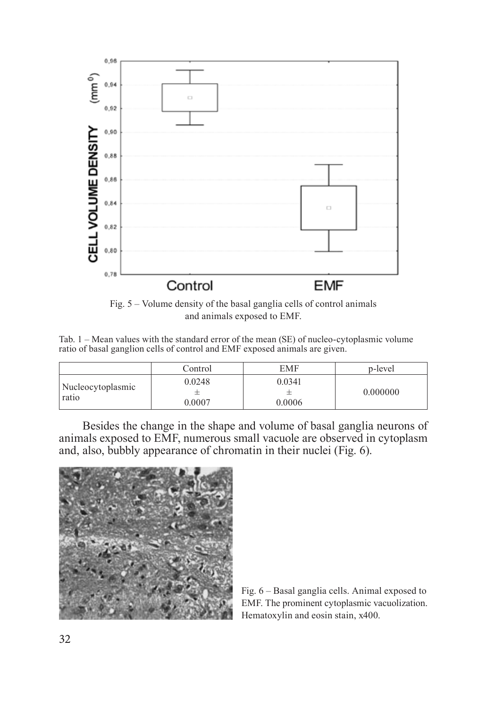

Fig. 5 – Volume density of the basal ganglia cells of control animals and animals exposed to EMF.

Tab. 1 – Mean values with the standard error of the mean (SE) of nucleo-cytoplasmic volume ratio of basal ganglion cells of control and EMF exposed animals are given.

|                            | Control | EMF    | p-level  |
|----------------------------|---------|--------|----------|
| Nucleocytoplasmic<br>ratio | 0.0248  | 0.0341 | 0.000000 |
|                            |         |        |          |
|                            | 0.0007  | 0.0006 |          |

Besides the change in the shape and volume of basal ganglia neurons of animals exposed to EMF, numerous small vacuole are observed in cytoplasm and, also, bubbly appearance of chromatin in their nuclei (Fig. 6).



Fig. 6 – Basal ganglia cells. Animal exposed to EMF. The prominent cytoplasmic vacuolization. Hematoxylin and eosin stain, x400.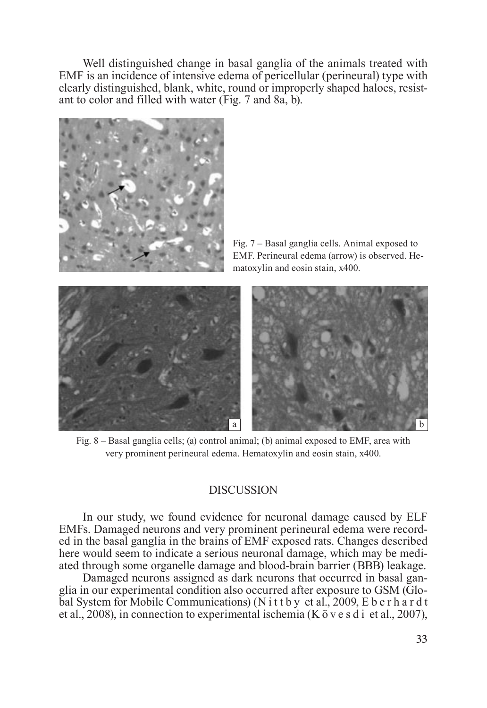Well distinguished change in basal ganglia of the animals treated with EMF is an incidence of intensive edema of pericellular (perineural) type with clearly distinguished, blank, white, round or improperly shaped haloes, resistant to color and filled with water (Fig. 7 and 8a, b).



Fig. 7 – Basal ganglia cells. Animal exposed to EMF. Perineural edema (arrow) is observed. Hematoxylin and eosin stain, x400.



Fig. 8 – Basal ganglia cells; (a) control animal; (b) animal exposed to EMF, area with very prominent perineural edema. Hematoxylin and eosin stain, x400.

## **DISCUSSION**

In our study, we found evidence for neuronal damage caused by ELF EMFs. Damaged neurons and very prominent perineural edema were recorded in the basal ganglia in the brains of EMF exposed rats. Changes described here would seem to indicate a serious neuronal damage, which may be mediated through some organelle damage and blood-brain barrier (BBB) leakage.

Damaged neurons assigned as dark neurons that occurred in basal ganglia in our experimental condition also occurred after exposure to GSM (Global System for Mobile Communications) (Nittby et al., 2009, E b e r h a r d t et al., 2008), in connection to experimental ischemia (K ö v e s d i et al., 2007),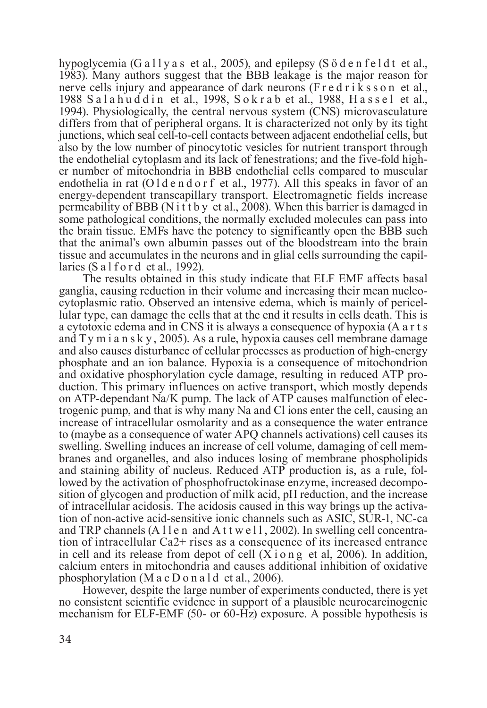hypoglycemia (G a l l y a s et al., 2005), and epilepsy (S  $\ddot{\text{o}}$  d e n f e l d t et al., 1983). Many authors suggest that the BBB leakage is the major reason for nerve cells injury and appearance of dark neurons (F r e d r i k s s o n et al., 1988 Salahuddin et al., 1998. Sokrab et al., 1988. Hassel et al., 1994). Physiologically, the central nervous system (CNS) microvasculature differs from that of peripheral organs. It is characterized not only by its tight junctions, which seal cell-to-cell contacts between adjacent endothelial cells, but also by the low number of pinocytotic vesicles for nutrient transport through the endothelial cytoplasm and its lack of fenestrations; and the five-fold higher number of mitochondria in BBB endothelial cells compared to muscular endothelia in rat  $(O \, I \, d \, e \, n \, d \, o \, r \, f \, e \, a \, l$ , 1977). All this speaks in favor of an energy-dependent transcapillary transport. Electromagnetic fields increase permeability of BBB (N i t t b y et al., 2008). When this barrier is damaged in some pathological conditions, the normally excluded molecules can pass into the brain tissue. EMFs have the potency to significantly open the BBB such that the animal's own albumin passes out of the bloodstream into the brain tissue and accumulates in the neurons and in glial cells surrounding the capillaries (S a  $1$  f o r d et al., 1992).

The results obtained in this study indicate that ELF EMF affects basal ganglia, causing reduction in their volume and increasing their mean nucleocytoplasmic ratio. Observed an intensive edema, which is mainly of pericellular type, can damage the cells that at the end it results in cells death. This is a cytotoxic edema and in CNS it is always a consequence of hypoxia (A a r t s and Ty m i a n s k y , 2005). As a rule, hypoxia causes cell membrane damage and also causes disturbance of cellular processes as production of high-energy phosphate and an ion balance. Hypoxia is a consequence of mitochondrion and oxidative phosphorylation cycle damage, resulting in reduced ATP production. This primary influences on active transport, which mostly depends on ATP-dependant Na/K pump. The lack of ATP causes malfunction of electrogenic pump, and that is why many Na and Cl ions enter the cell, causing an increase of intracellular osmolarity and as a consequence the water entrance to (maybe as a consequence of water APQ channels activations) cell causes its swelling. Swelling induces an increase of cell volume, damaging of cell membranes and organelles, and also induces losing of membrane phospholipids and staining ability of nucleus. Reduced ATP production is, as a rule, followed by the activation of phosphofructokinase enzyme, increased decomposition of glycogen and production of milk acid, pH reduction, and the increase of intracellular acidosis. The acidosis caused in this way brings up the activation of non-active acid-sensitive ionic channels such as ASIC, SUR-1, NC-ca and TRP channels (A l l e n and A t t w e l l, 2002). In swelling cell concentration of intracellular Ca2+ rises as a consequence of its increased entrance in cell and its release from depot of cell  $(X \text{ i on g et al, 2006})$ . In addition, calcium enters in mitochondria and causes additional inhibition of oxidative phosphorylation (M a c D o n a l d et al., 2006).

However, despite the large number of experiments conducted, there is yet no consistent scientific evidence in support of a plausible neurocarcinogenic mechanism for ELF-EMF (50- or 60-Hz) exposure. A possible hypothesis is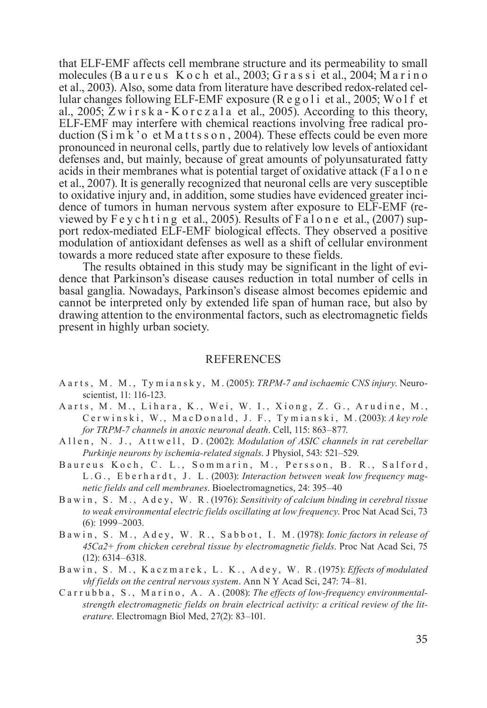that ELF-EMF affects cell membrane structure and its permeability to small molecules (B a u r e u s K o c h et al., 2003; G r a s s i et al., 2004; M a r i n o et al., 2003). Also, some data from literature have described redox-related cellular changes following ELF-EMF exposure (R e g o l i et al., 2005; W o l f et al., 2005;  $\overline{Z}$  w i r s k a - K o r c z a l a et al., 2005). According to this theory, ELF-EMF may interfere with chemical reactions involving free radical production  $(S \text{ in } k'$  o et M a t t s s o n, 2004). These effects could be even more pronounced in neuronal cells, partly due to relatively low levels of antioxidant defenses and, but mainly, because of great amounts of polyunsaturated fatty acids in their membranes what is potential target of oxidative attack (F a l o n e et al., 2007). It is generally recognized that neuronal cells are very susceptible to oxidative injury and, in addition, some studies have evidenced greater incidence of tumors in human nervous system after exposure to ELF-EMF (reviewed by  $F e v c h t i n g e t a l.$ , 2005). Results of  $F a l o n e t d l.$  (2007) support redox-mediated ELF-EMF biological effects. They observed a positive modulation of antioxidant defenses as well as a shift of cellular environment towards a more reduced state after exposure to these fields.

The results obtained in this study may be significant in the light of evidence that Parkinson's disease causes reduction in total number of cells in basal ganglia. Nowadays, Parkinson's disease almost becomes epidemic and cannot be interpreted only by extended life span of human race, but also by drawing attention to the environmental factors, such as electromagnetic fields present in highly urban society.

### **REFERENCES**

- A a r t s, M. M., Ty m i a n s k y, M. (2005): *TRPM-7 and ischaemic CNS injury*. Neuroscientist, 11: 116-123.
- Aarts, M. M., Lihara, K., Wei, W. I., Xiong, Z. G., Arudine, M., C e r w in s k i, W., M a c D o n a l d, J. F., Ty m i a n s k i, M. (2003): *A key role for TRPM-7 channels in anoxic neuronal death*. Cell, 115: 863–877.
- Allen, N. J., Attwell, D. (2002): *Modulation of ASIC channels in rat cerebellar Purkinje neurons by ischemia-related signals*. J Physiol, 543: 521–529.
- Baureus Koch, C. L., Sommarin, M., Persson, B. R., Salford, L.G., Eberhardt, J. L. (2003): *Interaction between weak low frequency magnetic fields and cell membranes*. Bioelectromagnetics, 24: 395–40
- B a w i n, S. M., A d e y, W. R. (1976): *Sensitivity of calcium binding in cerebral tissue to weak environmental electric fields oscillating at low frequency*. Proc Nat Acad Sci, 73 (6): 1999–2003.
- B a w i n , S . M . , A d e y , W. R . , S a b b o t , I . M . (1978): *Ionic factors in release of 45Ca2+ from chicken cerebral tissue by electromagnetic fields*. Proc Nat Acad Sci, 75 (12): 6314–6318.
- Bawin, S. M., Kaczmarek, L. K., Adey, W. R. (1975): *Effects of modulated vhf fields on the central nervous system*. Ann N Y Acad Sci, 247: 74–81.
- Carrubba, S., Marino, A. A. (2008): *The effects of low-frequency environmentalstrength electromagnetic fields on brain electrical activity: a critical review of the literature*. Electromagn Biol Med, 27(2): 83–101.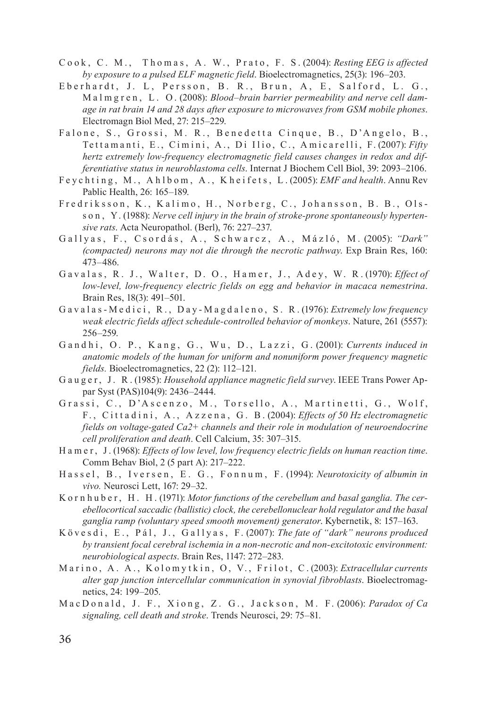- Cook, C. M., Thomas, A. W., Prato, F. S. (2004): *Resting EEG is affected by exposure to a pulsed ELF magnetic field*. Bioelectromagnetics, 25(3): 196–203.
- Eberhardt, J. L. Persson, B. R., Brun, A, E, Salford, L. G., M a l m g r e n, L. O. (2008): *Blood–brain barrier permeability and nerve cell damage in rat brain 14 and 28 days after exposure to microwaves from GSM mobile phones*. Electromagn Biol Med, 27: 215–229.
- Falone, S., Grossi, M. R., Benedetta Cinque, B., D'Angelo, B., Tettamanti, E., Cimini, A., Di Ilio, C., Amicarelli, F. (2007): Fifty *hertz extremely low-frequency electromagnetic field causes changes in redox and differentiative status in neuroblastoma cells*. Internat J Biochem Cell Biol, 39: 2093–2106.
- F e y c h t i n g , M . , A h l b o m , A . , K h e i f e t s , L . (2005): *EMF and health*. Annu Rev Pablic Health, 26: 165–189.
- Fredriksson, K., Kalimo, H., Norberg, C., Johansson, B. B., Ols s o n , Y. (1988): *Nerve cell injury in the brain of stroke-prone spontaneously hypertensive rats*. Acta Neuropathol. (Berl), 76: 227–237.
- Gallyas, F., Csordás, A., Schwarcz, A., Mázló, M. (2005): "Dark" *(compacted) neurons may not die through the necrotic pathway*. Exp Brain Res, 160: 473–486.
- Gavalas, R. J., Walter, D. O., Hamer, J., Adey, W. R. (1970): *Effect of low-level, low-frequency electric fields on egg and behavior in macaca nemestrina*. Brain Res, 18(3): 491–501.
- G a v a l a s M e d i c i, R., D a y M a g d a l e n o, S. R. (1976): *Extremely low frequency weak electric fields affect schedule-controlled behavior of monkeys*. Nature, 261 (5557): 256–259.
- G a n d h i , O . P., K a n g, G., Wu, D., L a z z i , G. (2001): *Currents induced in anatomic models of the human for uniform and nonuniform power frequency magnetic fields.* Bioelectromagnetics, 22 (2): 112–121.
- G a u g e r , J . R . (1985): *Household appliance magnetic field survey*. IEEE Trans Power Appar Syst (PAS)104(9): 2436–2444.
- Grassi, C., D'Ascenzo, M., Torsello, A., Martinetti, G., Wolf, F., Cittadini, A., Azzena, G. B. (2004): *Effects of 50 Hz electromagnetic fields on voltage-gated Ca2+ channels and their role in modulation of neuroendocrine cell proliferation and death*. Cell Calcium, 35: 307–315.
- H a m e r , J . (1968): *Effects of low level, low frequency electric fields on human reaction time*. Comm Behav Biol, 2 (5 part A): 217–222.
- Hassel, B., Iversen, E. G., Fonnum, F. (1994): *Neurotoxicity of albumin in vivo.* Neurosci Lett, 167: 29–32.
- K o r n h u b e r, H. H. (1971): *Motor functions of the cerebellum and basal ganglia. The cerebellocortical saccadic (ballistic) clock, the cerebellonuclear hold regulator and the basal ganglia ramp (voluntary speed smooth movement) generator*. Kybernetik, 8: 157–163.
- K ö v e s d i, E., P á l, J., G a l l y a s, F. (2007): The fate of "dark" neurons produced *by transient focal cerebral ischemia in a non-necrotic and non-excitotoxic environment: neurobiological aspects*. Brain Res, 1147: 272–283.
- Marino, A. A., Kolomytkin, O, V., Frilot, C. (2003): *Extracellular currents alter gap junction intercellular communication in synovial fibroblasts*. Bioelectromagnetics, 24: 199–205.
- MacDonald, J. F., Xiong, Z. G., Jackson, M. F. (2006): *Paradox of Ca signaling, cell death and stroke*. Trends Neurosci, 29: 75–81.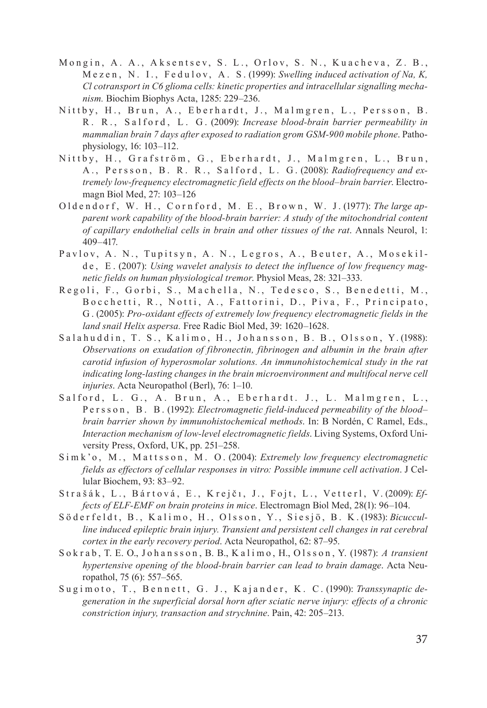- Mongin, A. A., Aksentsev, S. L., Orlov, S. N., Kuacheva, Z. B., Mezen, N. I., Fedulov, A. S. (1999): *Swelling induced activation of Na, K, Cl cotransport in C6 glioma cells: kinetic properties and intracellular signalling mechanism.* Biochim Biophys Acta, 1285: 229–236.
- Nittby, H., Brun, A., Eberhardt, J., Malmgren, L., Persson, B. R. R., Salford, L. G. (2009): *Increase blood-brain barrier permeability in mammalian brain 7 days after exposed to radiation grom GSM-900 mobile phone*. Pathophysiology, 16: 103–112.
- Nittby, H., Grafström, G., Eberhardt, J., Malmgren, L., Brun, A., Persson, B. R. R., Salford, L. G. (2008): *Radiofrequency and extremely low-frequency electromagnetic field effects on the blood–brain barrier*. Electromagn Biol Med, 27: 103–126
- Oldendorf, W. H., Cornford, M. E., Brown, W. J. (1977): The large ap*parent work capability of the blood-brain barrier: A study of the mitochondrial content of capillary endothelial cells in brain and other tissues of the rat*. Annals Neurol, 1: 409–417.
- Pavlov, A. N., Tupitsyn, A. N., Legros, A., Beuter, A., Mosekil d e , E . (2007): *Using wavelet analysis to detect the influence of low frequency magnetic fields on human physiological tremor*. Physiol Meas, 28: 321–333.
- Regoli, F., Gorbi, S., Machella, N., Tedesco, S., Benedetti, M., Bocchetti, R., Notti, A., Fattorini, D., Piva, F., Principato, G . (2005): *Pro-oxidant effects of extremely low frequency electromagnetic fields in the land snail Helix aspersa.* Free Radic Biol Med, 39: 1620–1628.
- Salahuddin, T. S., Kalimo, H., Johansson, B. B., Olsson, Y. (1988): *Observations on exudation of fibronectin, fibrinogen and albumin in the brain after carotid infusion of hyperosmolar solutions. An immunohistochemical study in the rat indicating long-lasting changes in the brain microenvironment and multifocal nerve cell injuries*. Acta Neuropathol (Berl), 76: 1–10.
- Salford, L. G., A. Brun, A., Eberhardt. J., L. Malmgren, L., Persson, B. B. (1992): *Electromagnetic field-induced permeability of the blood– brain barrier shown by immunohistochemical methods*. In: B Nordén, C Ramel, Eds., *Interaction mechanism of low-level electromagnetic fields*. Living Systems, Oxford University Press, Oxford, UK, pp. 251–258.
- Simk'o, M., Mattsson, M. O. (2004): *Extremely low frequency electromagnetic fields as effectors of cellular responses in vitro: Possible immune cell activation*. J Cellular Biochem, 93: 83–92.
- Strašák, L., Bártová, E., Krejč1, J., Fojt, L., Vetterl, V. (2009): Ef*fects of ELF-EMF on brain proteins in mice*. Electromagn Biol Med, 28(1): 96–104.
- Söderfeldt, B., Kalimo, H., Olsson, Y., Siesjö, B. K. (1983): *Bicucculline induced epileptic brain injury. Transient and persistent cell changes in rat cerebral cortex in the early recovery period*. Acta Neuropathol, 62: 87–95.
- S o k r a b , T. E. O., J o h a n s s o n , B. B., K a l i m o , H., O l s s o n , Y. (1987): *A transient hypertensive opening of the blood-brain barrier can lead to brain damage*. Acta Neuropathol, 75 (6): 557–565.
- Sugimoto, T., Bennett, G. J., Kajander, K. C. (1990): *Transsynaptic degeneration in the superficial dorsal horn after sciatic nerve injury: effects of a chronic constriction injury, transaction and strychnine*. Pain, 42: 205–213.